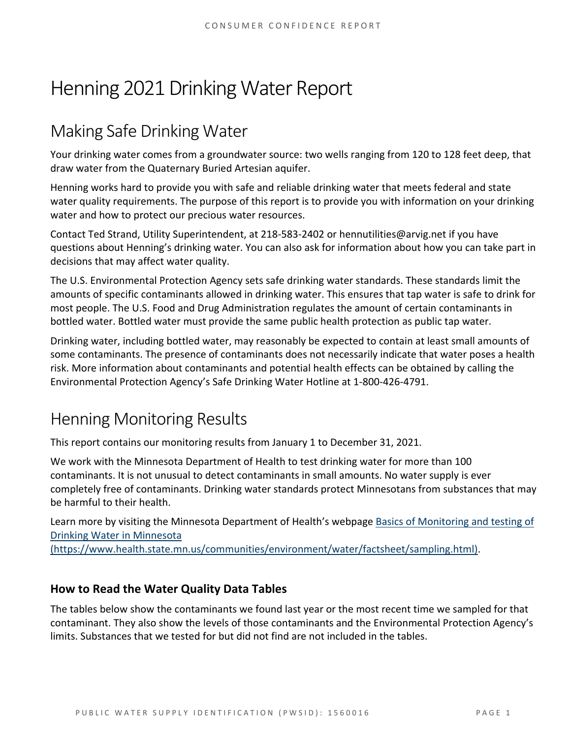# Henning 2021 Drinking Water Report

## Making Safe Drinking Water

Your drinking water comes from a groundwater source: two wells ranging from 120 to 128 feet deep, that draw water from the Quaternary Buried Artesian aquifer.

Henning works hard to provide you with safe and reliable drinking water that meets federal and state water quality requirements. The purpose of this report is to provide you with information on your drinking water and how to protect our precious water resources.

Contact Ted Strand, Utility Superintendent, at 218-583-2402 or hennutilities@arvig.net if you have questions about Henning's drinking water. You can also ask for information about how you can take part in decisions that may affect water quality.

The U.S. Environmental Protection Agency sets safe drinking water standards. These standards limit the amounts of specific contaminants allowed in drinking water. This ensures that tap water is safe to drink for most people. The U.S. Food and Drug Administration regulates the amount of certain contaminants in bottled water. Bottled water must provide the same public health protection as public tap water.

Drinking water, including bottled water, may reasonably be expected to contain at least small amounts of some contaminants. The presence of contaminants does not necessarily indicate that water poses a health risk. More information about contaminants and potential health effects can be obtained by calling the Environmental Protection Agency's Safe Drinking Water Hotline at 1-800-426-4791.

### Henning Monitoring Results

This report contains our monitoring results from January 1 to December 31, 2021.

We work with the Minnesota Department of Health to test drinking water for more than 100 contaminants. It is not unusual to detect contaminants in small amounts. No water supply is ever completely free of contaminants. Drinking water standards protect Minnesotans from substances that may be harmful to their health.

Learn more by visiting the Minnesota Department of Health's webpage [Basics of Monitoring and testing of](https://www.health.state.mn.us/communities/environment/water/factsheet/sampling.html)  [Drinking Water in Minnesota](https://www.health.state.mn.us/communities/environment/water/factsheet/sampling.html) 

[\(https://www.health.state.mn.us/communities/environment/water/factsheet/sampling.html\).](https://www.health.state.mn.us/communities/environment/water/factsheet/sampling.html)

#### **How to Read the Water Quality Data Tables**

The tables below show the contaminants we found last year or the most recent time we sampled for that contaminant. They also show the levels of those contaminants and the Environmental Protection Agency's limits. Substances that we tested for but did not find are not included in the tables.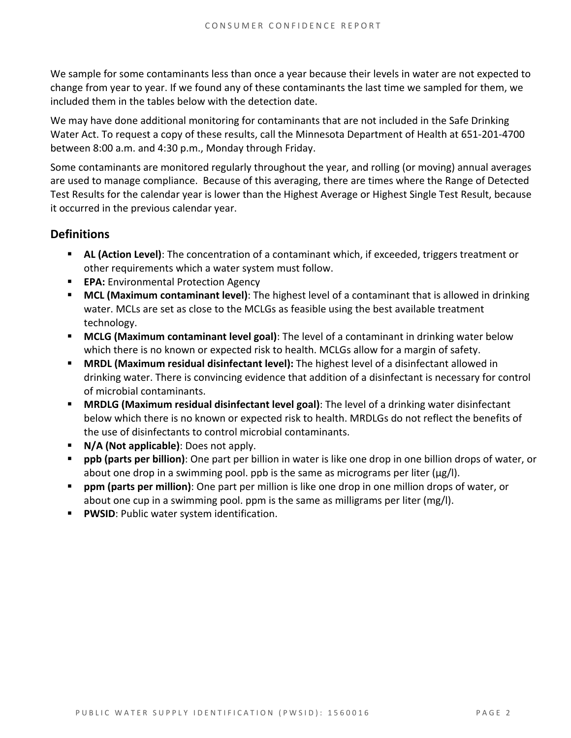We sample for some contaminants less than once a year because their levels in water are not expected to change from year to year. If we found any of these contaminants the last time we sampled for them, we included them in the tables below with the detection date.

We may have done additional monitoring for contaminants that are not included in the Safe Drinking Water Act. To request a copy of these results, call the Minnesota Department of Health at 651-201-4700 between 8:00 a.m. and 4:30 p.m., Monday through Friday.

Some contaminants are monitored regularly throughout the year, and rolling (or moving) annual averages are used to manage compliance. Because of this averaging, there are times where the Range of Detected Test Results for the calendar year is lower than the Highest Average or Highest Single Test Result, because it occurred in the previous calendar year.

#### **Definitions**

- AL (Action Level): The concentration of a contaminant which, if exceeded, triggers treatment or other requirements which a water system must follow.
- **EPA:** Environmental Protection Agency
- **MCL (Maximum contaminant level)**: The highest level of a contaminant that is allowed in drinking water. MCLs are set as close to the MCLGs as feasible using the best available treatment technology.
- **MCLG (Maximum contaminant level goal)**: The level of a contaminant in drinking water below which there is no known or expected risk to health. MCLGs allow for a margin of safety.
- **MRDL (Maximum residual disinfectant level):** The highest level of a disinfectant allowed in drinking water. There is convincing evidence that addition of a disinfectant is necessary for control of microbial contaminants.
- **MRDLG (Maximum residual disinfectant level goal)**: The level of a drinking water disinfectant below which there is no known or expected risk to health. MRDLGs do not reflect the benefits of the use of disinfectants to control microbial contaminants.
- **N/A (Not applicable)**: Does not apply.
- **ppb (parts per billion)**: One part per billion in water is like one drop in one billion drops of water, or about one drop in a swimming pool. ppb is the same as micrograms per liter ( $\mu$ g/l).
- **ppm (parts per million)**: One part per million is like one drop in one million drops of water, or about one cup in a swimming pool. ppm is the same as milligrams per liter (mg/l).
- **PWSID: Public water system identification.**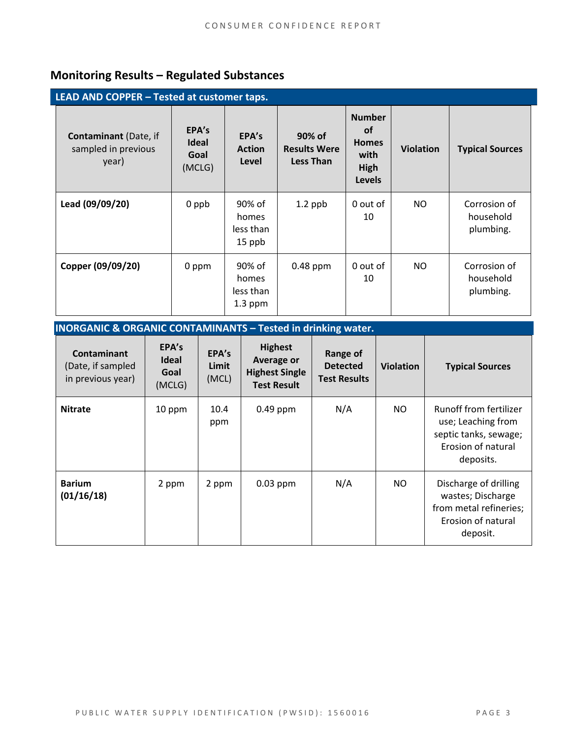### **Monitoring Results – Regulated Substances**

| LEAD AND COPPER - Tested at customer taps.                   |                                         |                                           |                                                   |                                                                             |                  |                                        |
|--------------------------------------------------------------|-----------------------------------------|-------------------------------------------|---------------------------------------------------|-----------------------------------------------------------------------------|------------------|----------------------------------------|
| <b>Contaminant</b> (Date, if<br>sampled in previous<br>year) | EPA's<br><b>Ideal</b><br>Goal<br>(MCLG) | EPA's<br><b>Action</b><br>Level           | 90% of<br><b>Results Were</b><br><b>Less Than</b> | <b>Number</b><br><b>of</b><br><b>Homes</b><br>with<br>High<br><b>Levels</b> | <b>Violation</b> | <b>Typical Sources</b>                 |
| Lead (09/09/20)                                              | 0 ppb                                   | 90% of<br>homes<br>less than<br>15 ppb    | $1.2$ ppb                                         | 0 out of<br>10                                                              | NO.              | Corrosion of<br>household<br>plumbing. |
| Copper (09/09/20)                                            | 0 ppm                                   | 90% of<br>homes<br>less than<br>$1.3$ ppm | 0.48 ppm                                          | 0 out of<br>10                                                              | NO.              | Corrosion of<br>household<br>plumbing. |

### **INORGANIC & ORGANIC CONTAMINANTS – Tested in drinking water.**

| <b>Contaminant</b><br>(Date, if sampled<br>in previous year) | EPA's<br><b>Ideal</b><br>Goal<br>(MCLG) | EPA's<br>Limit<br>(MCL) | <b>Highest</b><br>Average or<br><b>Highest Single</b><br><b>Test Result</b> | Range of<br><b>Detected</b><br><b>Test Results</b> | <b>Violation</b> | <b>Typical Sources</b>                                                                                   |
|--------------------------------------------------------------|-----------------------------------------|-------------------------|-----------------------------------------------------------------------------|----------------------------------------------------|------------------|----------------------------------------------------------------------------------------------------------|
| <b>Nitrate</b>                                               | 10 ppm                                  | 10.4<br>ppm             | $0.49$ ppm                                                                  | N/A                                                | NO.              | Runoff from fertilizer<br>use; Leaching from<br>septic tanks, sewage;<br>Erosion of natural<br>deposits. |
| <b>Barium</b><br>(01/16/18)                                  | 2 ppm                                   | 2 ppm                   | $0.03$ ppm                                                                  | N/A                                                | NO.              | Discharge of drilling<br>wastes; Discharge<br>from metal refineries;<br>Erosion of natural<br>deposit.   |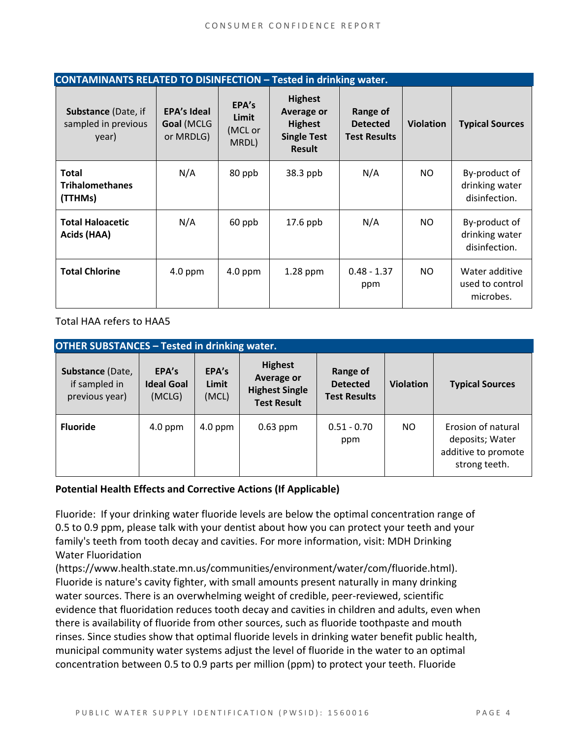| <b>CONTAMINANTS RELATED TO DISINFECTION - Tested in drinking water.</b> |                                               |                                    |                                                                                       |                                                    |                  |                                                  |
|-------------------------------------------------------------------------|-----------------------------------------------|------------------------------------|---------------------------------------------------------------------------------------|----------------------------------------------------|------------------|--------------------------------------------------|
| <b>Substance (Date, if</b><br>sampled in previous<br>year)              | <b>EPA's Ideal</b><br>Goal (MCLG<br>or MRDLG) | EPA's<br>Limit<br>(MCL or<br>MRDL) | <b>Highest</b><br>Average or<br><b>Highest</b><br><b>Single Test</b><br><b>Result</b> | Range of<br><b>Detected</b><br><b>Test Results</b> | <b>Violation</b> | <b>Typical Sources</b>                           |
| <b>Total</b><br><b>Trihalomethanes</b><br>(TTHMs)                       | N/A                                           | 80 ppb                             | 38.3 ppb                                                                              | N/A                                                | NO.              | By-product of<br>drinking water<br>disinfection. |
| <b>Total Haloacetic</b><br>Acids (HAA)                                  | N/A                                           | 60 ppb                             | 17.6 ppb                                                                              | N/A                                                | NO.              | By-product of<br>drinking water<br>disinfection. |
| <b>Total Chlorine</b>                                                   | $4.0$ ppm                                     | $4.0$ ppm                          | $1.28$ ppm                                                                            | $0.48 - 1.37$<br>ppm                               | NO.              | Water additive<br>used to control<br>microbes.   |

Total HAA refers to HAA5

| <b>OTHER SUBSTANCES - Tested in drinking water.</b> |                                      |                         |                                                                                    |                                                    |                  |                                                                               |  |
|-----------------------------------------------------|--------------------------------------|-------------------------|------------------------------------------------------------------------------------|----------------------------------------------------|------------------|-------------------------------------------------------------------------------|--|
| Substance (Date,<br>if sampled in<br>previous year) | EPA's<br><b>Ideal Goal</b><br>(MCLG) | EPA's<br>Limit<br>(MCL) | <b>Highest</b><br><b>Average or</b><br><b>Highest Single</b><br><b>Test Result</b> | Range of<br><b>Detected</b><br><b>Test Results</b> | <b>Violation</b> | <b>Typical Sources</b>                                                        |  |
| <b>Fluoride</b>                                     | $4.0$ ppm                            | $4.0$ ppm               | $0.63$ ppm                                                                         | $0.51 - 0.70$<br>ppm                               | NO.              | Erosion of natural<br>deposits; Water<br>additive to promote<br>strong teeth. |  |

#### **Potential Health Effects and Corrective Actions (If Applicable)**

Fluoride: If your drinking water fluoride levels are below the optimal concentration range of 0.5 to 0.9 ppm, please talk with your dentist about how you can protect your teeth and your family's teeth from tooth decay and cavities. For more information, visit: MDH Drinking Water Fluoridation

(https://www.health.state.mn.us/communities/environment/water/com/fluoride.html). Fluoride is nature's cavity fighter, with small amounts present naturally in many drinking water sources. There is an overwhelming weight of credible, peer-reviewed, scientific evidence that fluoridation reduces tooth decay and cavities in children and adults, even when there is availability of fluoride from other sources, such as fluoride toothpaste and mouth rinses. Since studies show that optimal fluoride levels in drinking water benefit public health, municipal community water systems adjust the level of fluoride in the water to an optimal concentration between 0.5 to 0.9 parts per million (ppm) to protect your teeth. Fluoride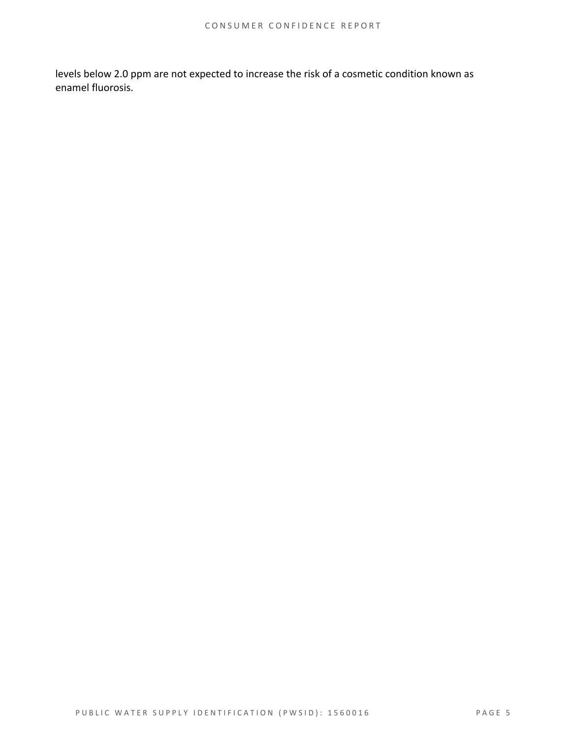levels below 2.0 ppm are not expected to increase the risk of a cosmetic condition known as enamel fluorosis.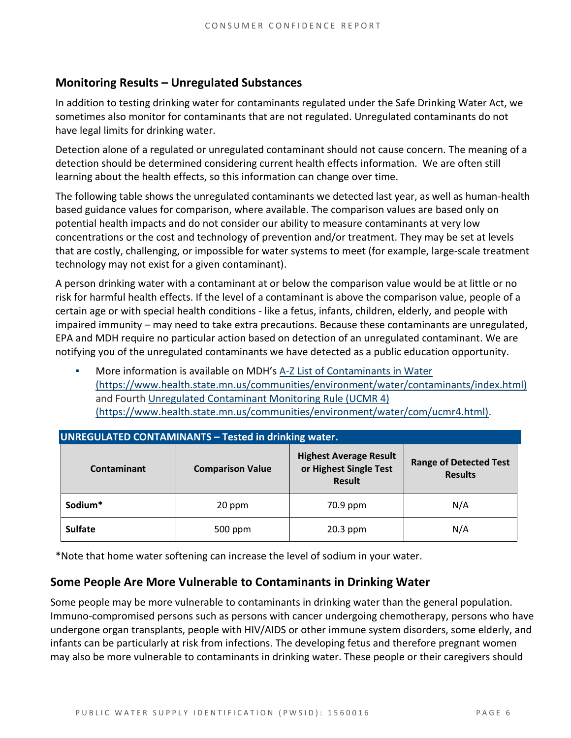#### **Monitoring Results – Unregulated Substances**

In addition to testing drinking water for contaminants regulated under the Safe Drinking Water Act, we sometimes also monitor for contaminants that are not regulated. Unregulated contaminants do not have legal limits for drinking water.

Detection alone of a regulated or unregulated contaminant should not cause concern. The meaning of a detection should be determined considering current health effects information. We are often still learning about the health effects, so this information can change over time.

The following table shows the unregulated contaminants we detected last year, as well as human-health based guidance values for comparison, where available. The comparison values are based only on potential health impacts and do not consider our ability to measure contaminants at very low concentrations or the cost and technology of prevention and/or treatment. They may be set at levels that are costly, challenging, or impossible for water systems to meet (for example, large-scale treatment technology may not exist for a given contaminant).

A person drinking water with a contaminant at or below the comparison value would be at little or no risk for harmful health effects. If the level of a contaminant is above the comparison value, people of a certain age or with special health conditions - like a fetus, infants, children, elderly, and people with impaired immunity – may need to take extra precautions. Because these contaminants are unregulated, EPA and MDH require no particular action based on detection of an unregulated contaminant. We are notifying you of the unregulated contaminants we have detected as a public education opportunity.

More information is available on MDH's A-Z List of Contaminants in Water [\(https://www.health.state.mn.us/communities/environment/water/contaminants/index.html\)](https://www.health.state.mn.us/communities/environment/water/contaminants/index.html) and Fourth [Unregulated Contaminant Monitoring Rule \(UCMR 4\)](https://www.health.state.mn.us/communities/environment/water/com/ucmr4.html)  [\(https://www.health.state.mn.us/communities/environment/water/com/ucmr4.html\).](https://www.health.state.mn.us/communities/environment/water/com/ucmr4.html)

| <b>UNREGULATED CONTAMINANTS - Tested in drinking water.</b> |                         |                                                                          |                                                 |  |  |  |  |
|-------------------------------------------------------------|-------------------------|--------------------------------------------------------------------------|-------------------------------------------------|--|--|--|--|
| Contaminant                                                 | <b>Comparison Value</b> | <b>Highest Average Result</b><br>or Highest Single Test<br><b>Result</b> | <b>Range of Detected Test</b><br><b>Results</b> |  |  |  |  |
| Sodium*                                                     | 20 ppm                  |                                                                          | N/A                                             |  |  |  |  |
| <b>Sulfate</b>                                              | 500 ppm                 | 20.3 ppm                                                                 | N/A                                             |  |  |  |  |

\*Note that home water softening can increase the level of sodium in your water.

#### **Some People Are More Vulnerable to Contaminants in Drinking Water**

Some people may be more vulnerable to contaminants in drinking water than the general population. Immuno-compromised persons such as persons with cancer undergoing chemotherapy, persons who have undergone organ transplants, people with HIV/AIDS or other immune system disorders, some elderly, and infants can be particularly at risk from infections. The developing fetus and therefore pregnant women may also be more vulnerable to contaminants in drinking water. These people or their caregivers should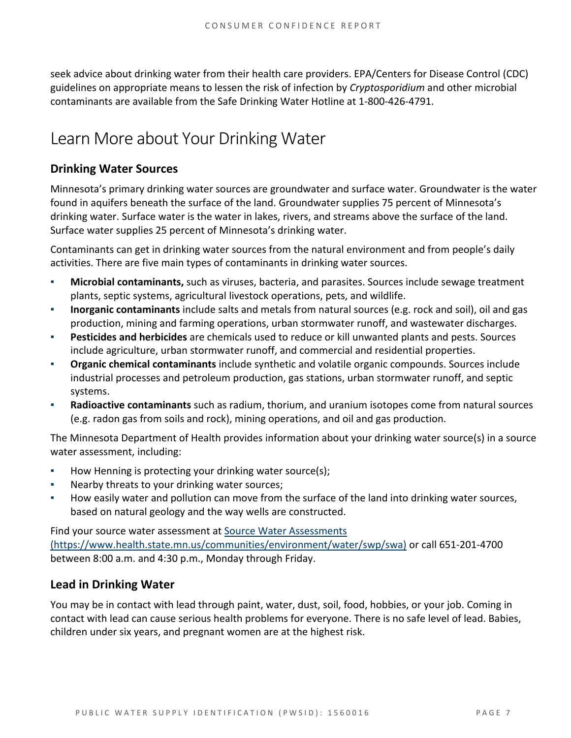seek advice about drinking water from their health care providers. EPA/Centers for Disease Control (CDC) guidelines on appropriate means to lessen the risk of infection by *Cryptosporidium* and other microbial contaminants are available from the Safe Drinking Water Hotline at 1-800-426-4791.

## Learn More about Your Drinking Water

#### **Drinking Water Sources**

Minnesota's primary drinking water sources are groundwater and surface water. Groundwater is the water found in aquifers beneath the surface of the land. Groundwater supplies 75 percent of Minnesota's drinking water. Surface water is the water in lakes, rivers, and streams above the surface of the land. Surface water supplies 25 percent of Minnesota's drinking water.

Contaminants can get in drinking water sources from the natural environment and from people's daily activities. There are five main types of contaminants in drinking water sources.

- **Microbial contaminants,** such as viruses, bacteria, and parasites. Sources include sewage treatment plants, septic systems, agricultural livestock operations, pets, and wildlife.
- **Inorganic contaminants** include salts and metals from natural sources (e.g. rock and soil), oil and gas production, mining and farming operations, urban stormwater runoff, and wastewater discharges.
- **Pesticides and herbicides** are chemicals used to reduce or kill unwanted plants and pests. Sources include agriculture, urban stormwater runoff, and commercial and residential properties.
- Organic chemical contaminants include synthetic and volatile organic compounds. Sources include industrial processes and petroleum production, gas stations, urban stormwater runoff, and septic systems.
- **Radioactive contaminants** such as radium, thorium, and uranium isotopes come from natural sources (e.g. radon gas from soils and rock), mining operations, and oil and gas production.

The Minnesota Department of Health provides information about your drinking water source(s) in a source water assessment, including:

- How Henning is protecting your drinking water source(s);
- Nearby threats to your drinking water sources;
- How easily water and pollution can move from the surface of the land into drinking water sources, based on natural geology and the way wells are constructed.

Find your source water assessment at [Source Water Assessments](https://www.health.state.mn.us/communities/environment/water/swp/swa)  [\(https://www.health.state.mn.us/communities/environment/water/swp/swa\)](https://www.health.state.mn.us/communities/environment/water/swp/swa) or call 651-201-4700 between 8:00 a.m. and 4:30 p.m., Monday through Friday.

#### **Lead in Drinking Water**

You may be in contact with lead through paint, water, dust, soil, food, hobbies, or your job. Coming in contact with lead can cause serious health problems for everyone. There is no safe level of lead. Babies, children under six years, and pregnant women are at the highest risk.